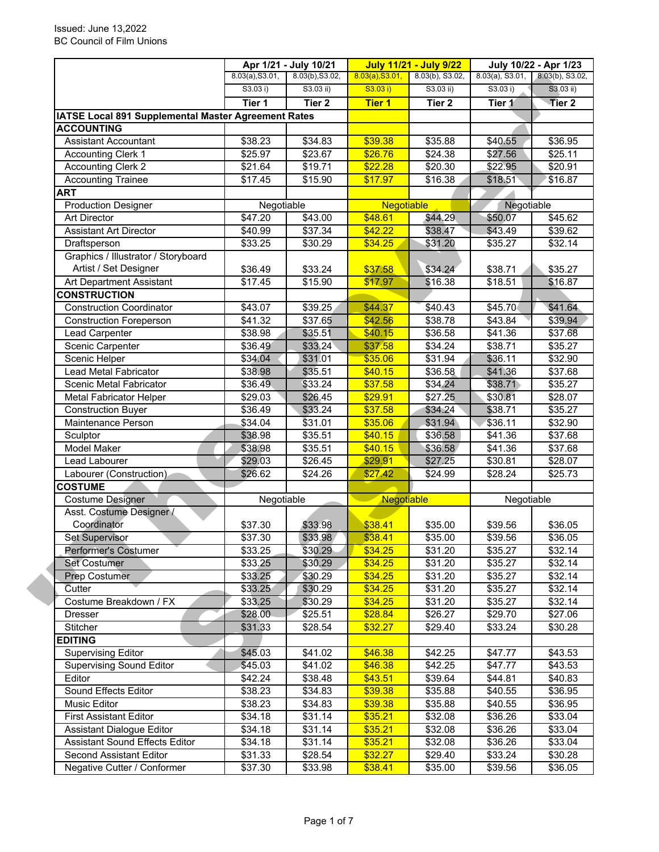|                                                                         |                    | Apr 1/21 - July 10/21<br><b>July 11/21 - July 9/22</b><br>July 10/22 - Apr 1/23 |                    |                     |                    |                    |
|-------------------------------------------------------------------------|--------------------|---------------------------------------------------------------------------------|--------------------|---------------------|--------------------|--------------------|
|                                                                         | 8.03(a), S3.01,    | 8.03(b), S3.02,                                                                 | 8.03(a), S3.01,    | 8.03(b), S3.02,     | $8.03(a)$ , S3.01, | 8.03(b), S3.02,    |
|                                                                         | S3.03 i)           | S3.03 ii)                                                                       | S3.03 i)           | S3.03 ii)           | S3.03 i)           | $S3.03$ ii)        |
|                                                                         | Tier 1             | Tier <sub>2</sub>                                                               | <b>Tier 1</b>      | Tier <sub>2</sub>   | Tier 1             | Tier 2             |
| IATSE Local 891 Supplemental Master Agreement Rates                     |                    |                                                                                 |                    |                     |                    |                    |
| <b>ACCOUNTING</b>                                                       |                    |                                                                                 |                    |                     |                    |                    |
| <b>Assistant Accountant</b>                                             | \$38.23            | \$34.83                                                                         | \$39.38            | \$35.88             | \$40.55            | \$36.95            |
| <b>Accounting Clerk 1</b>                                               | \$25.97            | \$23.67                                                                         | \$26.76            | \$24.38             | \$27.56            | \$25.11            |
| <b>Accounting Clerk 2</b>                                               | \$21.64            | \$19.71                                                                         | \$22.28            | \$20.30             | \$22.95            | \$20.91            |
| <b>Accounting Trainee</b>                                               | \$17.45            | \$15.90                                                                         | \$17.97            | \$16.38             | \$18.51            | \$16.87            |
| <b>ART</b>                                                              |                    |                                                                                 |                    |                     |                    |                    |
| <b>Production Designer</b>                                              | Negotiable         |                                                                                 | Negotiable         |                     | Negotiable         |                    |
| <b>Art Director</b>                                                     | \$47.20            | \$43.00                                                                         | \$48.61            | \$44.29             | \$50.07            | \$45.62            |
| <b>Assistant Art Director</b>                                           | \$40.99            | \$37.34                                                                         | \$42.22            | \$38.47             | \$43.49            | \$39.62            |
| Draftsperson                                                            | \$33.25            | \$30.29                                                                         | \$34.25            | \$31.20             | \$35.27            | \$32.14            |
| Graphics / Illustrator / Storyboard                                     |                    |                                                                                 |                    |                     |                    |                    |
| Artist / Set Designer                                                   | \$36.49            | \$33.24                                                                         | \$37.58            | \$34.24             | \$38.71            | \$35.27            |
| Art Department Assistant                                                | \$17.45            | \$15.90                                                                         | \$17.97            | \$16.38             | \$18.51            | \$16.87            |
| <b>CONSTRUCTION</b>                                                     |                    |                                                                                 |                    |                     |                    |                    |
| <b>Construction Coordinator</b>                                         | \$43.07            | \$39.25                                                                         | \$44.37            | \$40.43             | \$45.70            | \$41.64            |
| <b>Construction Foreperson</b>                                          | \$41.32            | \$37.65                                                                         | \$42.56            | \$38.78             | \$43.84            | \$39.94            |
| <b>Lead Carpenter</b>                                                   | \$38.98            | \$35.51                                                                         | \$40.15            | \$36.58             | \$41.36            | \$37.68            |
| Scenic Carpenter                                                        | \$36.49            | \$33.24                                                                         | \$37.58            | \$34.24             | \$38.71            | \$35.27            |
| Scenic Helper                                                           | \$34.04            | \$31.01                                                                         | \$35.06            | $\overline{$31.94}$ | \$36.11            | \$32.90            |
| Lead Metal Fabricator                                                   | \$38.98            | \$35.51                                                                         | \$40.15            | \$36.58             | \$41.36            | \$37.68            |
| Scenic Metal Fabricator                                                 | \$36.49            | \$33.24                                                                         | \$37.58            | $\overline{$}34.24$ | \$38.71            | \$35.27            |
| <b>Metal Fabricator Helper</b>                                          | \$29.03            | \$26.45                                                                         | \$29.91            | \$27.25             | \$30.81            | \$28.07            |
| <b>Construction Buyer</b>                                               | \$36.49            | \$33.24                                                                         | \$37.58            | \$34.24             | \$38.71            | \$35.27            |
| Maintenance Person                                                      | \$34.04            | \$31.01                                                                         | \$35.06            | \$31.94             | \$36.11            | \$32.90            |
| Sculptor                                                                | \$38.98            | \$35.51                                                                         | \$40.15            | \$36.58             | \$41.36            | \$37.68            |
| Model Maker                                                             | \$38.98            | \$35.51                                                                         | \$40.15            | \$36.58             | \$41.36            | \$37.68            |
| Lead Labourer                                                           | \$29.03            | \$26.45                                                                         | \$29.91            | \$27.25             | \$30.81            | \$28.07            |
| Labourer (Construction)                                                 | \$26.62            | \$24.26                                                                         | \$27.42            | \$24.99             | \$28.24            | \$25.73            |
| <b>COSTUME</b>                                                          |                    |                                                                                 |                    |                     |                    |                    |
| <b>Costume Designer</b>                                                 | Negotiable         |                                                                                 | Negotiable         |                     | Negotiable         |                    |
| Asst. Costume Designer /<br>Coordinator                                 |                    |                                                                                 |                    |                     |                    |                    |
|                                                                         | \$37.30            | \$33.98                                                                         | \$38.41            | \$35.00             | \$39.56            | \$36.05            |
| <b>Set Supervisor</b>                                                   | \$37.30            | \$33.98                                                                         | \$38.41            | \$35.00             | \$39.56            | \$36.05            |
| Performer's Costumer                                                    | \$33.25            | \$30.29                                                                         | \$34.25            | \$31.20             | \$35.27            | \$32.14            |
| <b>Set Costumer</b>                                                     | \$33.25            | \$30.29                                                                         | \$34.25            | \$31.20             | \$35.27            | \$32.14            |
| <b>Prep Costumer</b><br>Cutter                                          |                    |                                                                                 |                    |                     |                    |                    |
|                                                                         | \$33.25            | \$30.29                                                                         | \$34.25            | \$31.20             | \$35.27            | \$32.14            |
|                                                                         | \$33.25            | \$30.29                                                                         | \$34.25            | \$31.20             | \$35.27            | \$32.14            |
| Costume Breakdown / FX                                                  | \$33.25            | \$30.29                                                                         | \$34.25            | \$31.20             | \$35.27            | \$32.14            |
| <b>Dresser</b>                                                          | \$28.00            | \$25.51                                                                         | \$28.84            | \$26.27             | \$29.70            | \$27.06            |
| Stitcher                                                                | \$31.33            | \$28.54                                                                         | \$32.27            | \$29.40             | \$33.24            | \$30.28            |
| <b>EDITING</b>                                                          |                    |                                                                                 |                    |                     |                    |                    |
| <b>Supervising Editor</b>                                               | \$45.03            | \$41.02                                                                         | \$46.38            | \$42.25             | \$47.77            | \$43.53            |
| <b>Supervising Sound Editor</b>                                         | \$45.03            | \$41.02                                                                         | \$46.38            | \$42.25             | \$47.77            | \$43.53            |
| Editor                                                                  | \$42.24            | \$38.48                                                                         | \$43.51            | \$39.64             | \$44.81            | \$40.83            |
| Sound Effects Editor                                                    | \$38.23            | \$34.83                                                                         | \$39.38            | \$35.88             | \$40.55            | \$36.95            |
| Music Editor                                                            | \$38.23            | \$34.83                                                                         | \$39.38            | \$35.88             | \$40.55            | \$36.95            |
| <b>First Assistant Editor</b>                                           | \$34.18            | \$31.14                                                                         | \$35.21            | \$32.08             | \$36.26            | \$33.04            |
| Assistant Dialogue Editor                                               | \$34.18            | \$31.14                                                                         | \$35.21            | \$32.08             | \$36.26            | \$33.04            |
| <b>Assistant Sound Effects Editor</b><br><b>Second Assistant Editor</b> | \$34.18<br>\$31.33 | \$31.14<br>\$28.54                                                              | \$35.21<br>\$32.27 | \$32.08<br>\$29.40  | \$36.26<br>\$33.24 | \$33.04<br>\$30.28 |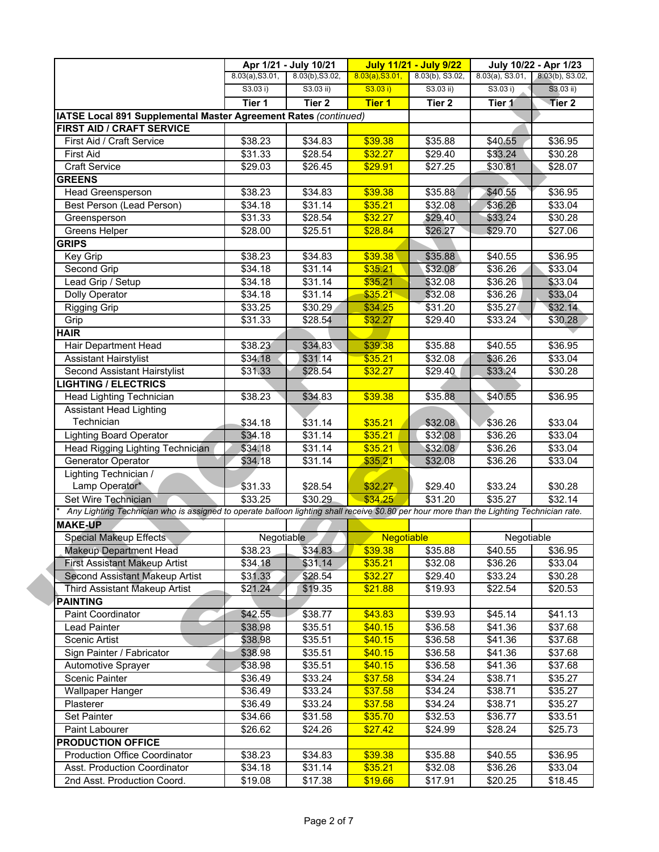|                                                                                                                                           |                     | Apr 1/21 - July 10/21 | <b>July 11/21 - July 9/22</b> |                 | July 10/22 - Apr 1/23                 |                     |
|-------------------------------------------------------------------------------------------------------------------------------------------|---------------------|-----------------------|-------------------------------|-----------------|---------------------------------------|---------------------|
|                                                                                                                                           | 8.03(a), S3.01,     | 8.03(b), S3.02,       | 8.03(a), S3.01,               | 8.03(b), S3.02, | $8.03(a)$ , S3.01, $8.03(b)$ , S3.02, |                     |
|                                                                                                                                           | S3.03 i)            | S3.03 ii)             | S3.03 i)                      | $S3.03$ ii)     | S3.03 i)                              | $S3.03$ ii)         |
|                                                                                                                                           | Tier 1              | Tier <sub>2</sub>     | <b>Tier 1</b>                 | Tier 2          | Tier 1                                | Tier 2              |
| IATSE Local 891 Supplemental Master Agreement Rates (continued)                                                                           |                     |                       |                               |                 |                                       |                     |
| <b>FIRST AID / CRAFT SERVICE</b>                                                                                                          |                     |                       |                               |                 |                                       |                     |
| First Aid / Craft Service                                                                                                                 | \$38.23             | \$34.83               | \$39.38                       | \$35.88         | \$40.55                               | \$36.95             |
| <b>First Aid</b>                                                                                                                          | \$31.33             | \$28.54               | \$32.27                       | \$29.40         | \$33.24                               | \$30.28             |
| Craft Service                                                                                                                             | \$29.03             | \$26.45               | \$29.91                       | \$27.25         | \$30.81                               | \$28.07             |
| <b>GREENS</b>                                                                                                                             |                     |                       |                               |                 |                                       |                     |
| <b>Head Greensperson</b>                                                                                                                  | \$38.23             | \$34.83               | \$39.38                       | \$35.88         | \$40.55                               | \$36.95             |
| Best Person (Lead Person)                                                                                                                 | \$34.18             | \$31.14               | \$35.21                       | \$32.08         | \$36.26                               | \$33.04             |
| Greensperson                                                                                                                              | \$31.33             | \$28.54               | \$32.27                       | \$29.40         | \$33.24                               | \$30.28             |
| Greens Helper                                                                                                                             | \$28.00             | \$25.51               | \$28.84                       | \$26.27         | \$29.70                               | \$27.06             |
| <b>GRIPS</b>                                                                                                                              |                     |                       |                               |                 |                                       |                     |
| Key Grip                                                                                                                                  | \$38.23             | \$34.83               | \$39.38                       | \$35.88         | \$40.55                               | \$36.95             |
| Second Grip                                                                                                                               | \$34.18             | \$31.14               | \$35.21                       | \$32.08         | \$36.26                               | \$33.04             |
| Lead Grip / Setup                                                                                                                         | \$34.18             | \$31.14               | \$35.21                       | \$32.08         | \$36.26                               | \$33.04             |
| Dolly Operator                                                                                                                            | \$34.18             | \$31.14               | \$35.21                       | \$32.08         | \$36.26                               | \$33.04             |
| <b>Rigging Grip</b>                                                                                                                       | $\overline{$}33.25$ | \$30.29               | \$34.25                       | \$31.20         | \$35.27                               | \$32.14             |
| Grip                                                                                                                                      | \$31.33             | \$28.54               | \$32.27                       | \$29.40         | \$33.24                               | \$30.28             |
| <b>HAIR</b>                                                                                                                               |                     |                       |                               |                 |                                       |                     |
| Hair Department Head                                                                                                                      | \$38.23             | \$34.83               | \$39.38                       | \$35.88         | \$40.55                               | \$36.95             |
| <b>Assistant Hairstylist</b>                                                                                                              | \$34.18             | \$31.14               | \$35.21                       | \$32.08         | \$36.26                               | \$33.04             |
| Second Assistant Hairstylist                                                                                                              | \$31.33             | \$28.54               | \$32.27                       | \$29.40         | \$33.24                               | \$30.28             |
| <b>LIGHTING / ELECTRICS</b>                                                                                                               |                     |                       |                               |                 |                                       |                     |
| Head Lighting Technician                                                                                                                  | \$38.23             | \$34.83               | \$39.38                       | \$35.88         | \$40.55                               | \$36.95             |
| <b>Assistant Head Lighting</b>                                                                                                            |                     |                       |                               |                 |                                       |                     |
| Technician                                                                                                                                | \$34.18             | \$31.14               | \$35.21                       | \$32.08         | \$36.26                               | \$33.04             |
| <b>Lighting Board Operator</b>                                                                                                            | \$34.18             | \$31.14               | \$35.21                       | \$32.08         | \$36.26                               | \$33.04             |
| Head Rigging Lighting Technician                                                                                                          | \$34.18             | $\sqrt{$31.14}$       | \$35.21                       | \$32.08         | \$36.26                               | \$33.04             |
| Generator Operator                                                                                                                        | \$34.18             | \$31.14               | \$35.21                       | \$32.08         | \$36.26                               | \$33.04             |
| Lighting Technician /                                                                                                                     |                     |                       |                               |                 |                                       |                     |
| Lamp Operator*                                                                                                                            | \$31.33             | \$28.54               | \$32.27                       | \$29.40         | \$33.24                               | \$30.28             |
| Set Wire Technician                                                                                                                       | \$33.25             | \$30.29               | \$34.25                       | \$31.20         | \$35.27                               | \$32.14             |
| Any Lighting Technician who is assigned to operate balloon lighting shall receive \$0.80 per hour more than the Lighting Technician rate. |                     |                       |                               |                 |                                       |                     |
| <b>MAKE-UP</b>                                                                                                                            |                     |                       |                               |                 |                                       |                     |
| <b>Special Makeup Effects</b>                                                                                                             | Negotiable          |                       | <b>Negotiable</b>             |                 | Negotiable                            |                     |
| Makeup Department Head                                                                                                                    | \$38.23             | \$34.83               | \$39.38                       | \$35.88         | \$40.55                               | \$36.95             |
| <b>First Assistant Makeup Artist</b>                                                                                                      | \$34.18             | \$31.14               | \$35.21                       | \$32.08         | \$36.26                               | \$33.04             |
| Second Assistant Makeup Artist                                                                                                            | \$31.33             | \$28.54               | \$32.27                       | \$29.40         | \$33.24                               | \$30.28             |
| <b>Third Assistant Makeup Artist</b>                                                                                                      | \$21.24             | \$19.35               | \$21.88                       | \$19.93         | \$22.54                               | \$20.53             |
| PAINTING                                                                                                                                  |                     |                       |                               |                 |                                       |                     |
| Paint Coordinator                                                                                                                         | \$42.55             | \$38.77               | \$43.83                       | \$39.93         | \$45.14                               | \$41.13             |
| Lead Painter                                                                                                                              | \$38.98             | \$35.51               | \$40.15                       | \$36.58         | \$41.36                               | \$37.68             |
| Scenic Artist                                                                                                                             | \$38.98             | \$35.51               | \$40.15                       | \$36.58         | \$41.36                               | \$37.68             |
| Sign Painter / Fabricator                                                                                                                 | \$38.98             | \$35.51               | \$40.15                       | \$36.58         | \$41.36                               | \$37.68             |
| Automotive Sprayer                                                                                                                        | \$38.98             | \$35.51               | \$40.15                       | \$36.58         | \$41.36                               | \$37.68             |
| <b>Scenic Painter</b>                                                                                                                     | \$36.49             | \$33.24               | \$37.58                       | \$34.24         | \$38.71                               | \$35.27             |
| <b>Wallpaper Hanger</b>                                                                                                                   | \$36.49             | \$33.24               | \$37.58                       | \$34.24         | \$38.71                               | \$35.27             |
| Plasterer                                                                                                                                 | \$36.49             | \$33.24               | \$37.58                       | \$34.24         | \$38.71                               | \$35.27             |
| Set Painter                                                                                                                               | \$34.66             | \$31.58               | \$35.70                       | \$32.53         | \$36.77                               | \$33.51             |
| Paint Labourer                                                                                                                            | \$26.62             | \$24.26               | \$27.42                       | \$24.99         | \$28.24                               | \$25.73             |
| <b>PRODUCTION OFFICE</b>                                                                                                                  |                     |                       |                               |                 |                                       |                     |
| <b>Production Office Coordinator</b>                                                                                                      | \$38.23             | \$34.83               | \$39.38                       | \$35.88         | \$40.55                               | $\overline{$}36.95$ |
| Asst. Production Coordinator                                                                                                              | \$34.18             | \$31.14               | \$35.21                       | \$32.08         | \$36.26                               | \$33.04             |
| 2nd Asst. Production Coord.                                                                                                               | \$19.08             | \$17.38               | \$19.66                       | \$17.91         | \$20.25                               | \$18.45             |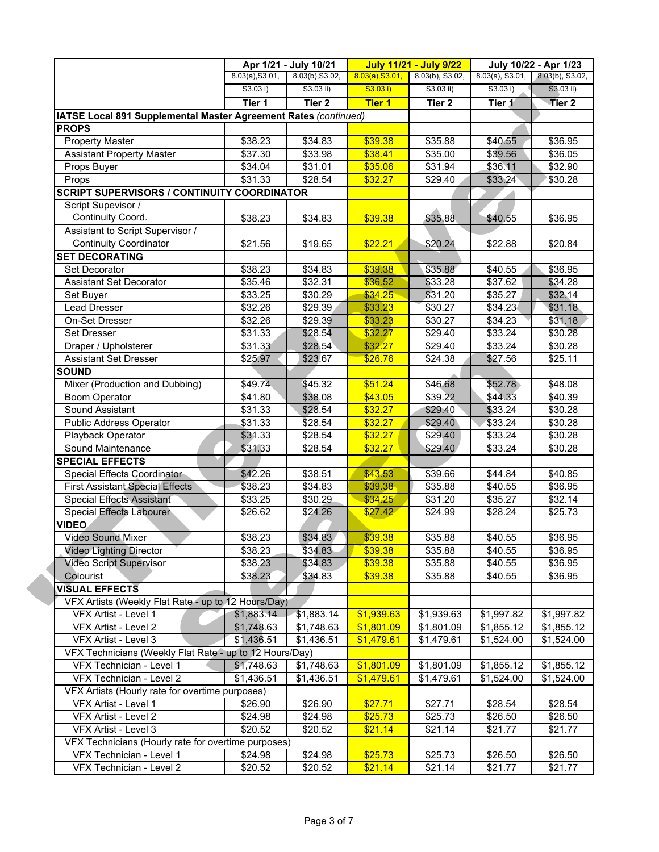|                                                                             |                 | Apr 1/21 - July 10/21 |                 | <b>July 11/21 - July 9/22</b> |                     | July 10/22 - Apr 1/23  |
|-----------------------------------------------------------------------------|-----------------|-----------------------|-----------------|-------------------------------|---------------------|------------------------|
|                                                                             | 8.03(a), S3.01, | 8.03(b), S3.02,       | 8.03(a), S3.01, | 8.03(b), S3.02,               | $8.03(a)$ , S3.01,  | 8.03(b), S3.02,        |
|                                                                             | S3.03 i)        | $S3.03$ ii)           | S3.03 i)        | S3.03 ii)                     | S3.03 i)            | $S3.03$ ii)            |
|                                                                             | Tier 1          | Tier <sub>2</sub>     | <b>Tier 1</b>   | Tier 2                        | Tier 1              | Tier 2                 |
| IATSE Local 891 Supplemental Master Agreement Rates (continued)             |                 |                       |                 |                               |                     |                        |
| <b>PROPS</b>                                                                |                 |                       |                 |                               |                     |                        |
| <b>Property Master</b>                                                      | \$38.23         | \$34.83               | \$39.38         | \$35.88                       | \$40.55             | \$36.95                |
| <b>Assistant Property Master</b>                                            | \$37.30         | \$33.98               | \$38.41         | \$35.00                       | \$39.56             | \$36.05                |
| Props Buyer                                                                 | \$34.04         | \$31.01               | \$35.06         | \$31.94                       | \$36.11             | \$32.90                |
| Props                                                                       | \$31.33         | \$28.54               | \$32.27         | \$29.40                       | \$33.24             | \$30.28                |
| <b>SCRIPT SUPERVISORS / CONTINUITY COORDINATOR</b>                          |                 |                       |                 |                               |                     |                        |
| Script Supevisor /                                                          |                 |                       |                 |                               |                     |                        |
| Continuity Coord.                                                           | \$38.23         | \$34.83               | \$39.38         | \$35.88                       | \$40.55             | \$36.95                |
| Assistant to Script Supervisor /                                            |                 |                       |                 |                               |                     |                        |
| <b>Continuity Coordinator</b>                                               | \$21.56         | \$19.65               | \$22.21         | \$20.24                       | \$22.88             | \$20.84                |
| <b>SET DECORATING</b>                                                       |                 |                       |                 |                               |                     |                        |
| <b>Set Decorator</b>                                                        | \$38.23         | \$34.83               | \$39.38         | \$35.88                       | \$40.55             | \$36.95                |
| <b>Assistant Set Decorator</b>                                              | \$35.46         | \$32.31               | \$36.52         | \$33.28                       | \$37.62             | \$34.28                |
| Set Buyer                                                                   | \$33.25         | \$30.29               | \$34.25         | \$31.20                       | \$35.27             | \$32.14                |
| <b>Lead Dresser</b>                                                         | \$32.26         | \$29.39               | \$33.23         | \$30.27                       | \$34.23             | \$31.18                |
| On-Set Dresser                                                              | \$32.26         | \$29.39               | \$33.23         | \$30.27                       | \$34.23             | \$31.18                |
| <b>Set Dresser</b>                                                          | \$31.33         | \$28.54               | \$32.27         | \$29.40                       | \$33.24             | \$30.28                |
| Draper / Upholsterer                                                        | \$31.33         | \$28.54               | \$32.27         | \$29.40                       | \$33.24             | \$30.28                |
| Assistant Set Dresser                                                       | \$25.97         | \$23.67               | \$26.76         | \$24.38                       | \$27.56             | \$25.11                |
| <b>SOUND</b>                                                                |                 |                       |                 |                               |                     |                        |
| Mixer (Production and Dubbing)                                              | \$49.74         | \$45.32               | \$51.24         | \$46.68                       | \$52.78             | \$48.08                |
| <b>Boom Operator</b>                                                        | \$41.80         | \$38.08               | \$43.05         | \$39.22                       | \$44.33             | \$40.39                |
| Sound Assistant                                                             | \$31.33         | \$28.54               | \$32.27         | \$29.40                       | \$33.24             | \$30.28                |
| Public Address Operator                                                     | \$31.33         | \$28.54               | \$32.27         | \$29.40                       | \$33.24             | \$30.28                |
| Playback Operator                                                           | \$31.33         | \$28.54               | \$32.27         | \$29.40                       | $\overline{$33.24}$ | \$30.28                |
| Sound Maintenance                                                           | \$31.33         | \$28.54               | \$32.27         | \$29.40                       | \$33.24             | \$30.28                |
| <b>SPECIAL EFFECTS</b>                                                      |                 |                       |                 |                               |                     |                        |
| Special Effects Coordinator                                                 | \$42.26         | \$38.51               | \$43.53         | \$39.66                       | \$44.84             | \$40.85                |
| <b>First Assistant Special Effects</b>                                      | \$38.23         | \$34.83               | \$39.38         | \$35.88                       | \$40.55             | \$36.95                |
| <b>Special Effects Assistant</b>                                            | \$33.25         | \$30.29               | \$34.25         | \$31.20                       | \$35.27             | \$32.14                |
| Special Effects Labourer                                                    | \$26.62         | \$24.26               | \$27.42         | \$24.99                       | \$28.24             | \$25.73                |
| <b>VIDEO</b>                                                                |                 |                       |                 |                               |                     |                        |
| Video Sound Mixer                                                           | \$38.23         | \$34.83               | \$39.38         | \$35.88                       | \$40.55             | \$36.95                |
| <b>Video Lighting Director</b>                                              | \$38.23         | \$34.83               | \$39.38         | \$35.88                       | \$40.55             | \$36.95                |
| <b>Video Script Supervisor</b>                                              | \$38.23         | \$34.83               | \$39.38         | \$35.88                       | \$40.55             | \$36.95                |
| Colourist                                                                   | \$38.23         | \$34.83               | \$39.38         | \$35.88                       | \$40.55             | \$36.95                |
| <b>VISUAL EFFECTS</b>                                                       |                 |                       |                 |                               |                     |                        |
| VFX Artists (Weekly Flat Rate - up to 12 Hours/Day)                         |                 |                       |                 |                               |                     |                        |
| VFX Artist - Level 1                                                        | \$1,883.14      | \$1,883.14            | \$1,939.63      | \$1,939.63                    | \$1,997.82          | \$1,997.82             |
| VFX Artist - Level 2                                                        | \$1,748.63      | \$1,748.63            | \$1,801.09      | \$1,801.09                    | \$1,855.12          | \$1,855.12             |
| VFX Artist - Level 3                                                        | \$1,436.51      | \$1,436.51            | \$1,479.61      | \$1,479.61                    | \$1,524.00          | \$1,524.00             |
| VFX Technicians (Weekly Flat Rate - up to 12 Hours/Day)                     |                 |                       |                 |                               |                     |                        |
| VFX Technician - Level 1                                                    | \$1,748.63      | \$1,748.63            | \$1,801.09      | \$1,801.09                    | \$1,855.12          | \$1,855.12             |
| VFX Technician - Level 2                                                    | \$1,436.51      | \$1,436.51            | \$1,479.61      | \$1,479.61                    | \$1,524.00          | $\overline{$}1,524.00$ |
| VFX Artists (Hourly rate for overtime purposes)                             |                 |                       |                 |                               |                     |                        |
| VFX Artist - Level 1                                                        | \$26.90         | \$26.90               | \$27.71         | \$27.71                       | \$28.54             | \$28.54                |
| VFX Artist - Level 2                                                        |                 | \$24.98               | \$25.73         | \$25.73                       |                     | \$26.50                |
|                                                                             | \$24.98         |                       |                 |                               | \$26.50             |                        |
| VFX Artist - Level 3<br>VFX Technicians (Hourly rate for overtime purposes) | \$20.52         | \$20.52               | \$21.14         | \$21.14                       | \$21.77             | \$21.77                |
|                                                                             |                 |                       |                 |                               |                     |                        |
| VFX Technician - Level 1                                                    | \$24.98         | \$24.98               | \$25.73         | \$25.73                       | \$26.50             | \$26.50                |
| VFX Technician - Level 2                                                    | \$20.52         | \$20.52               | \$21.14         | \$21.14                       | \$21.77             | \$21.77                |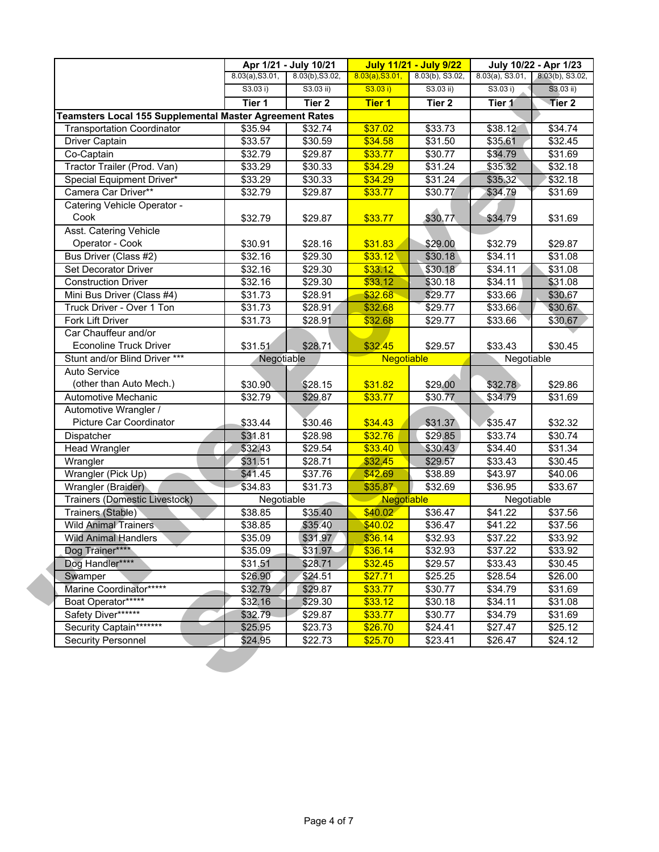|                                                         | 8.03(a), S3.01,<br>S3.03 i) | 8.03(b), S3.02,<br>$S3.03$ ii) | 8.03(a), S3.01,<br>S3.03 i) | $8.03(b)$ , S3.02,<br>$S3.03$ ii) | $8.03(a)$ , S3.01,<br>S3.03 i) | 8.03(b), S3.02,<br>$S3.03$ ii) |
|---------------------------------------------------------|-----------------------------|--------------------------------|-----------------------------|-----------------------------------|--------------------------------|--------------------------------|
|                                                         | Tier 1                      | Tier <sub>2</sub>              | <b>Tier 1</b>               | Tier 2                            | Tier 1                         | Tier <sub>2</sub>              |
| Teamsters Local 155 Supplemental Master Agreement Rates |                             |                                |                             |                                   |                                |                                |
| <b>Transportation Coordinator</b>                       | \$35.94                     | \$32.74                        | \$37.02                     | \$33.73                           | \$38.12                        | \$34.74                        |
| Driver Captain                                          | \$33.57                     | \$30.59                        | \$34.58                     | \$31.50                           | \$35.61                        | \$32.45                        |
| Co-Captain                                              | \$32.79                     | \$29.87                        | \$33.77                     | \$30.77                           | \$34.79                        | \$31.69                        |
| Tractor Trailer (Prod. Van)                             | \$33.29                     | \$30.33                        | \$34.29                     | \$31.24                           | \$35.32                        | \$32.18                        |
| Special Equipment Driver*                               | \$33.29                     | \$30.33                        | \$34.29                     | \$31.24                           | \$35.32                        | \$32.18                        |
| Camera Car Driver**                                     | \$32.79                     | \$29.87                        | \$33.77                     | \$30.77                           | \$34.79                        | \$31.69                        |
| Catering Vehicle Operator -                             |                             |                                |                             |                                   |                                |                                |
| Cook                                                    | \$32.79                     | \$29.87                        | \$33.77                     | \$30.77                           | \$34.79                        | \$31.69                        |
| Asst. Catering Vehicle                                  |                             |                                |                             |                                   |                                |                                |
| Operator - Cook                                         | \$30.91                     | \$28.16                        | \$31.83                     | \$29.00                           | \$32.79                        | \$29.87                        |
| Bus Driver (Class #2)                                   | \$32.16                     | \$29.30                        | \$33.12                     | \$30.18                           | \$34.11                        | \$31.08                        |
| <b>Set Decorator Driver</b>                             | \$32.16                     | \$29.30                        | \$33.12                     | \$30.18                           | \$34.11                        | \$31.08                        |
| <b>Construction Driver</b>                              | \$32.16                     | \$29.30                        | \$33.12                     | \$30.18                           | \$34.11                        | \$31.08                        |
| Mini Bus Driver (Class #4)                              | \$31.73                     | \$28.91                        | \$32.68                     | \$29.77                           | \$33.66                        | \$30.67                        |
| Truck Driver - Over 1 Ton                               | \$31.73                     | \$28.91                        | \$32.68                     | \$29.77                           | \$33.66                        | \$30.67                        |
| Fork Lift Driver                                        | \$31.73                     | \$28.91                        | \$32.68                     | \$29.77                           | \$33.66                        | \$30.67                        |
| Car Chauffeur and/or                                    |                             |                                |                             |                                   |                                |                                |
| <b>Econoline Truck Driver</b>                           | \$31.51                     | \$28.71                        | \$32.45                     | \$29.57                           | \$33.43                        | \$30.45                        |
| Stunt and/or Blind Driver ***                           | Negotiable                  |                                | Negotiable                  |                                   | Negotiable                     |                                |
| Auto Service                                            |                             |                                |                             |                                   |                                |                                |
| (other than Auto Mech.)                                 | \$30.90                     | \$28.15                        | \$31.82                     | \$29.00                           | \$32.78                        | \$29.86                        |
| Automotive Mechanic                                     | \$32.79                     | \$29.87                        | \$33.77                     | \$30.77                           | \$34.79                        | \$31.69                        |
| Automotive Wrangler /                                   |                             |                                |                             |                                   |                                |                                |
| Picture Car Coordinator                                 | \$33.44                     | \$30.46                        | \$34.43                     | \$31.37                           | \$35.47                        | \$32.32                        |
| Dispatcher                                              | \$31.81                     | \$28.98                        | \$32.76                     | \$29.85                           | \$33.74                        | \$30.74                        |
| Head Wrangler                                           | \$32.43                     | \$29.54                        | \$33.40                     | \$30.43                           | \$34.40                        | \$31.34                        |
| Wrangler                                                | \$31.51                     | \$28.71                        | \$32.45                     | \$29.57                           | \$33.43                        | \$30.45                        |
| Wrangler (Pick Up)                                      | \$41.45                     | \$37.76                        | \$42.69                     | \$38.89                           | \$43.97                        | \$40.06                        |
| Wrangler (Braider)                                      | \$34.83                     | \$31.73                        | \$35.87                     | \$32.69                           | \$36.95                        | \$33.67                        |
| Trainers (Domestic Livestock)                           | Negotiable                  |                                | Negotiable                  |                                   | Negotiable                     |                                |
| Trainers (Stable)                                       | \$38.85                     | \$35.40                        | \$40.02                     | \$36.47                           | \$41.22                        | \$37.56                        |
| <b>Wild Animal Trainers</b>                             | \$38.85                     | \$35.40                        | \$40.02                     | \$36.47                           | $\sqrt{$41.22}$                | \$37.56                        |
| <b>Wild Animal Handlers</b>                             | \$35.09                     | \$31.97                        | \$36.14                     | \$32.93                           | \$37.22                        | \$33.92                        |
| Dog Trainer****                                         | \$35.09                     | \$31.97                        | \$36.14                     | \$32.93                           | \$37.22                        | \$33.92                        |
| Dog Handler****                                         | \$31.51                     | \$28.71                        | \$32.45                     | \$29.57                           | \$33.43                        | \$30.45                        |
| Swamper                                                 | \$26.90                     | \$24.51                        | \$27.71                     | \$25.25                           | \$28.54                        | \$26.00                        |
| Marine Coordinator*****                                 | \$32.79                     | \$29.87                        | \$33.77                     | \$30.77                           | \$34.79                        | \$31.69                        |
| Boat Operator*****                                      | \$32.16                     | \$29.30                        | \$33.12                     | $\overline{$}30.18$               | \$34.11                        | \$31.08                        |
| Safety Diver******                                      | \$32.79                     | \$29.87                        | \$33.77                     | \$30.77                           | \$34.79                        | \$31.69                        |
| Security Captain*******                                 | \$25.95                     | \$23.73                        | \$26.70                     | \$24.41                           | \$27.47                        | \$25.12                        |
| <b>Security Personnel</b>                               | \$24.95                     | \$22.73                        | \$25.70                     | \$23.41                           | \$26.47                        | \$24.12                        |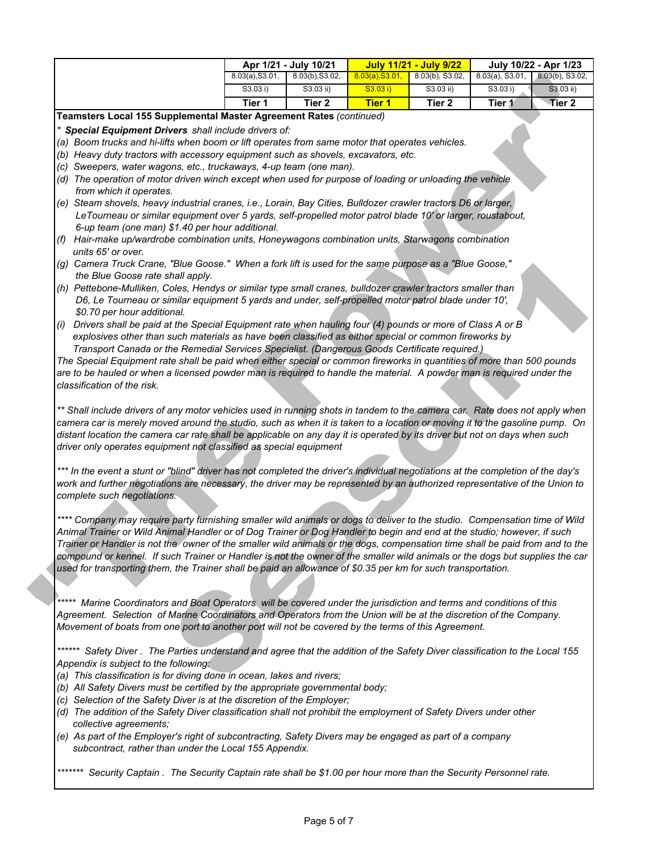|     |                                                                                                                                                                                                                                                                                                                                                                                                                                                                                                                                                                                                                                                                                                                                                                                                                                                                                                                                                                                                                                                                                                                                                                                                                                                                                                                                                                                                                                                                                                                                                                                                                                                                                                                                                                                                                                                                                                                                                                                                                                                                                                                                                                                                                                                                                                                                                                                                                                                                                                                                                                                                                                                                                                                                                                                       | Apr 1/21 - July 10/21<br>8.03(b), S3.02,<br>8.03(a), S3.01, |                   | <b>July 11/21 - July 9/22</b><br>8.03(a), S3.01,<br>$8.03(b)$ , S3.02, |           | July 10/22 - Apr 1/23<br>$8.03(a)$ , S3.01, |                                |
|-----|---------------------------------------------------------------------------------------------------------------------------------------------------------------------------------------------------------------------------------------------------------------------------------------------------------------------------------------------------------------------------------------------------------------------------------------------------------------------------------------------------------------------------------------------------------------------------------------------------------------------------------------------------------------------------------------------------------------------------------------------------------------------------------------------------------------------------------------------------------------------------------------------------------------------------------------------------------------------------------------------------------------------------------------------------------------------------------------------------------------------------------------------------------------------------------------------------------------------------------------------------------------------------------------------------------------------------------------------------------------------------------------------------------------------------------------------------------------------------------------------------------------------------------------------------------------------------------------------------------------------------------------------------------------------------------------------------------------------------------------------------------------------------------------------------------------------------------------------------------------------------------------------------------------------------------------------------------------------------------------------------------------------------------------------------------------------------------------------------------------------------------------------------------------------------------------------------------------------------------------------------------------------------------------------------------------------------------------------------------------------------------------------------------------------------------------------------------------------------------------------------------------------------------------------------------------------------------------------------------------------------------------------------------------------------------------------------------------------------------------------------------------------------------------|-------------------------------------------------------------|-------------------|------------------------------------------------------------------------|-----------|---------------------------------------------|--------------------------------|
|     |                                                                                                                                                                                                                                                                                                                                                                                                                                                                                                                                                                                                                                                                                                                                                                                                                                                                                                                                                                                                                                                                                                                                                                                                                                                                                                                                                                                                                                                                                                                                                                                                                                                                                                                                                                                                                                                                                                                                                                                                                                                                                                                                                                                                                                                                                                                                                                                                                                                                                                                                                                                                                                                                                                                                                                                       | S3.03 i)                                                    | $S3.03$ ii)       | S3.03 i)                                                               | S3.03 ii) | S3.03 i)                                    | 8.03(b), S3.02,<br>$S3.03$ ii) |
|     |                                                                                                                                                                                                                                                                                                                                                                                                                                                                                                                                                                                                                                                                                                                                                                                                                                                                                                                                                                                                                                                                                                                                                                                                                                                                                                                                                                                                                                                                                                                                                                                                                                                                                                                                                                                                                                                                                                                                                                                                                                                                                                                                                                                                                                                                                                                                                                                                                                                                                                                                                                                                                                                                                                                                                                                       | Tier 1                                                      | Tier <sub>2</sub> | <b>Tier 1</b>                                                          | Tier 2    | Tier 1                                      | Tier 2                         |
|     | Teamsters Local 155 Supplemental Master Agreement Rates (continued)                                                                                                                                                                                                                                                                                                                                                                                                                                                                                                                                                                                                                                                                                                                                                                                                                                                                                                                                                                                                                                                                                                                                                                                                                                                                                                                                                                                                                                                                                                                                                                                                                                                                                                                                                                                                                                                                                                                                                                                                                                                                                                                                                                                                                                                                                                                                                                                                                                                                                                                                                                                                                                                                                                                   |                                                             |                   |                                                                        |           |                                             |                                |
| (i) | * Special Equipment Drivers shall include drivers of:<br>(a) Boom trucks and hi-lifts when boom or lift operates from same motor that operates vehicles.<br>(b) Heavy duty tractors with accessory equipment such as shovels, excavators, etc.<br>(c) Sweepers, water wagons, etc., truckaways, 4-up team (one man).<br>(d) The operation of motor driven winch except when used for purpose of loading or unloading the vehicle<br>from which it operates.<br>(e) Steam shovels, heavy industrial cranes, i.e., Lorain, Bay Cities, Bulldozer crawler tractors D6 or larger,<br>LeTourneau or similar equipment over 5 yards, self-propelled motor patrol blade 10' or larger, roustabout,<br>6-up team (one man) \$1.40 per hour additional.<br>(f) Hair-make up/wardrobe combination units, Honeywagons combination units, Starwagons combination<br>units 65' or over.<br>(g) Camera Truck Crane, "Blue Goose." When a fork lift is used for the same purpose as a "Blue Goose,"<br>the Blue Goose rate shall apply.<br>(h) Pettebone-Mulliken, Coles, Hendys or similar type small cranes, bulldozer crawler tractors smaller than<br>D6, Le Tourneau or similar equipment 5 yards and under, self-propelled motor patrol blade under 10',<br>\$0.70 per hour additional.<br>Drivers shall be paid at the Special Equipment rate when hauling four (4) pounds or more of Class A or B<br>explosives other than such materials as have been classified as either special or common fireworks by<br>Transport Canada or the Remedial Services Specialist. (Dangerous Goods Certificate required.)<br>The Special Equipment rate shall be paid when either special or common fireworks in quantities of more than 500 pounds<br>are to be hauled or when a licensed powder man is required to handle the material. A powder man is required under the<br>classification of the risk.<br>** Shall include drivers of any motor vehicles used in running shots in tandem to the camera car. Rate does not apply when<br>camera car is merely moved around the studio, such as when it is taken to a location or moving it to the gasoline pump. On<br>distant location the camera car rate shall be applicable on any day it is operated by its driver but not on days when such<br>driver only operates equipment not classified as special equipment<br>*** In the event a stunt or "blind" driver has not completed the driver's individual negotiations at the completion of the day's<br>work and further negotiations are necessary, the driver may be represented by an authorized representative of the Union to<br>complete such negotiations.<br>**** Company may require party furnishing smaller wild animals or dogs to deliver to the studio. Compensation time of Wild |                                                             |                   |                                                                        |           |                                             |                                |
|     | Animal Trainer or Wild Animal Handler or of Dog Trainer or Dog Handler to begin and end at the studio; however, if such<br>Trainer or Handler is not the owner of the smaller wild animals or the dogs, compensation time shall be paid from and to the<br>compound or kennel. If such Trainer or Handler is not the owner of the smaller wild animals or the dogs but supplies the car<br>used for transporting them, the Trainer shall be paid an allowance of \$0.35 per km for such transportation.                                                                                                                                                                                                                                                                                                                                                                                                                                                                                                                                                                                                                                                                                                                                                                                                                                                                                                                                                                                                                                                                                                                                                                                                                                                                                                                                                                                                                                                                                                                                                                                                                                                                                                                                                                                                                                                                                                                                                                                                                                                                                                                                                                                                                                                                               |                                                             |                   |                                                                        |           |                                             |                                |
|     | ***** Marine Coordinators and Boat Operators will be covered under the jurisdiction and terms and conditions of this<br>Agreement. Selection of Marine Coordinators and Operators from the Union will be at the discretion of the Company.                                                                                                                                                                                                                                                                                                                                                                                                                                                                                                                                                                                                                                                                                                                                                                                                                                                                                                                                                                                                                                                                                                                                                                                                                                                                                                                                                                                                                                                                                                                                                                                                                                                                                                                                                                                                                                                                                                                                                                                                                                                                                                                                                                                                                                                                                                                                                                                                                                                                                                                                            |                                                             |                   |                                                                        |           |                                             |                                |
|     | Movement of boats from one port to another port will not be covered by the terms of this Agreement.                                                                                                                                                                                                                                                                                                                                                                                                                                                                                                                                                                                                                                                                                                                                                                                                                                                                                                                                                                                                                                                                                                                                                                                                                                                                                                                                                                                                                                                                                                                                                                                                                                                                                                                                                                                                                                                                                                                                                                                                                                                                                                                                                                                                                                                                                                                                                                                                                                                                                                                                                                                                                                                                                   |                                                             |                   |                                                                        |           |                                             |                                |

*\*\*\*\*\*\*\* Security Captain . The Security Captain rate shall be \$1.00 per hour more than the Security Personnel rate.*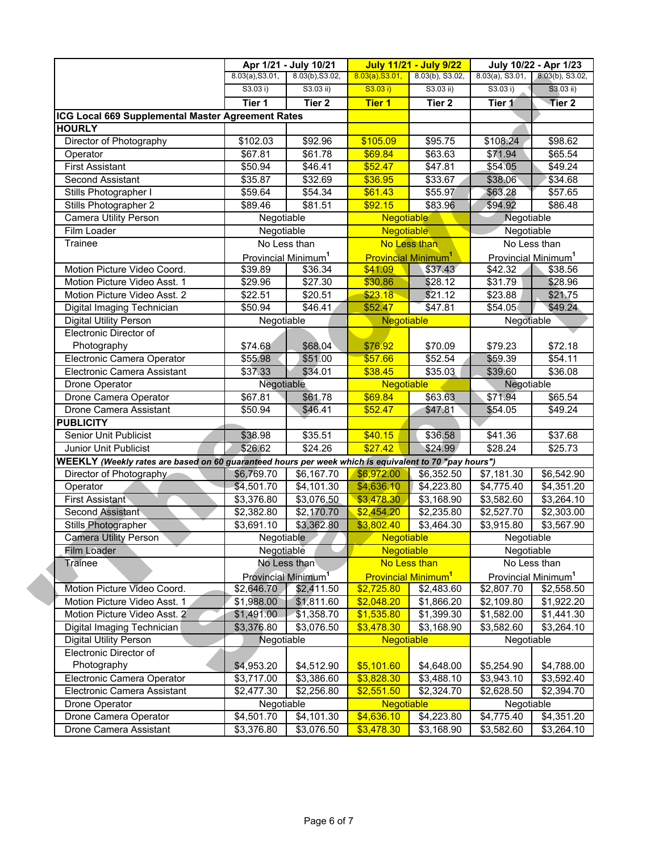|                                                                                                       |                                 | Apr 1/21 - July 10/21   | <b>July 11/21 - July 9/22</b><br>July 10/22 - Apr 1/23 |                                       |                                 |                   |
|-------------------------------------------------------------------------------------------------------|---------------------------------|-------------------------|--------------------------------------------------------|---------------------------------------|---------------------------------|-------------------|
|                                                                                                       | 8.03(a), S3.01,                 | 8.03(b), S3.02,         | 8.03(a), S3.01,                                        | $8.03(b)$ , S3.02,                    | $8.03(a)$ , S3.01,              | 8.03(b), S3.02,   |
|                                                                                                       | S3.03 i)                        | $S3.03$ ii)             | S3.03 i)                                               | $S3.03$ ii)                           | S3.03 i)                        | $S3.03$ ii)       |
|                                                                                                       | Tier 1                          | Tier <sub>2</sub>       | <b>Tier 1</b>                                          | Tier 2                                | Tier 1                          | Tier <sub>2</sub> |
| ICG Local 669 Supplemental Master Agreement Rates                                                     |                                 |                         |                                                        |                                       |                                 |                   |
| <b>HOURLY</b>                                                                                         |                                 |                         |                                                        |                                       |                                 |                   |
| Director of Photography                                                                               | \$102.03                        | \$92.96                 | \$105.09                                               | \$95.75                               | \$108.24                        | \$98.62           |
| Operator                                                                                              | 367.81                          | \$61.78                 | \$69.84                                                | \$63.63                               | \$71.94                         | \$65.54           |
| <b>First Assistant</b>                                                                                | \$50.94                         | \$46.41                 | \$52.47                                                | \$47.81                               | \$54.05                         | \$49.24           |
| Second Assistant                                                                                      | \$35.87                         | \$32.69                 | \$36.95                                                | \$33.67                               | \$38.06                         | \$34.68           |
| Stills Photographer I                                                                                 | \$59.64                         | \$54.34                 | \$61.43                                                | \$55.97                               | \$63.28                         | \$57.65           |
| Stills Photographer 2                                                                                 | \$89.46                         | \$81.51                 | \$92.15                                                | \$83.96                               | \$94.92                         | \$86.48           |
| Camera Utility Person                                                                                 | Negotiable                      |                         | <b>Negotiable</b>                                      |                                       | Negotiable                      |                   |
| Film Loader                                                                                           | Negotiable                      |                         | <b>Negotiable</b>                                      |                                       | Negotiable                      |                   |
| Trainee                                                                                               |                                 | No Less than            |                                                        | No Less than                          |                                 | No Less than      |
|                                                                                                       | Provincial Minimum <sup>1</sup> |                         |                                                        | <b>Provincial Minimum<sup>1</sup></b> | Provincial Minimum <sup>1</sup> |                   |
| Motion Picture Video Coord.                                                                           | \$39.89                         | \$36.34                 | \$41.09                                                | \$37.43                               | \$42.32                         | \$38.56           |
| Motion Picture Video Asst. 1                                                                          | \$29.96                         | \$27.30                 | \$30.86                                                | \$28.12                               | \$31.79                         | \$28.96           |
| Motion Picture Video Asst. 2                                                                          | \$22.51                         | \$20.51                 | \$23.18                                                | \$21.12                               | \$23.88                         | \$21.75           |
| Digital Imaging Technician                                                                            | \$50.94                         | \$46.41                 | \$52.47                                                | \$47.81                               | \$54.05                         | \$49.24           |
| Digital Utility Person                                                                                | Negotiable                      |                         | Negotiable                                             |                                       | Negotiable                      |                   |
| Electronic Director of                                                                                |                                 |                         |                                                        |                                       |                                 |                   |
| Photography                                                                                           | \$74.68                         | \$68.04                 | \$76.92                                                | \$70.09                               | \$79.23                         | \$72.18           |
| Electronic Camera Operator                                                                            | \$55.98                         | \$51.00                 | \$57.66                                                | \$52.54                               | \$59.39                         | \$54.11           |
| Electronic Camera Assistant                                                                           | \$37.33                         | \$34.01                 | \$38.45                                                | \$35.03                               | \$39.60                         | \$36.08           |
| Drone Operator                                                                                        | Negotiable                      |                         | Negotiable                                             |                                       | Negotiable                      |                   |
| Drone Camera Operator                                                                                 | \$67.81                         | \$61.78                 | \$69.84                                                | \$63.63                               | \$71.94                         | \$65.54           |
| Drone Camera Assistant                                                                                | \$50.94                         | \$46.41                 | \$52.47                                                | \$47.81                               | \$54.05                         | \$49.24           |
| <b>PUBLICITY</b>                                                                                      |                                 |                         |                                                        |                                       |                                 |                   |
| <b>Senior Unit Publicist</b>                                                                          | \$38.98                         | \$35.51                 | \$40.15                                                | $\overline{$}36.58$                   | \$41.36                         | \$37.68           |
| Junior Unit Publicist                                                                                 | \$26.62                         | \$24.26                 | \$27.42                                                | \$24.99                               | \$28.24                         | \$25.73           |
| WEEKLY (Weekly rates are based on 60 guaranteed hours per week which is equivalent to 70 "pay hours") |                                 |                         |                                                        |                                       |                                 |                   |
| Director of Photography                                                                               | \$6,769.70                      | \$6,167.70              | \$6,972.00                                             | \$6,352.50                            | \$7,181.30                      | \$6,542.90        |
| Operator                                                                                              | \$4,501.70                      | \$4,101.30              | \$4,636.10                                             | \$4,223.80                            | \$4,775.40                      | \$4,351.20        |
| <b>First Assistant</b>                                                                                | \$3,376.80                      | \$3,076.50              | \$3,478.30                                             | \$3,168.90                            | \$3,582.60                      | \$3,264.10        |
| Second Assistant                                                                                      | \$2,382.80                      | \$2,170.70              | \$2,454.20                                             | \$2,235.80                            | \$2,527.70                      | \$2,303.00        |
| Stills Photographer                                                                                   | \$3,691.10                      | \$3,362.80              | \$3,802.40                                             | \$3,464.30                            | \$3,915.80                      | \$3,567.90        |
| Camera Utility Person                                                                                 |                                 | Negotiable              | Negotiable                                             |                                       | Negotiable                      |                   |
| Film Loader                                                                                           | Negotiable                      |                         | <b>Negotiable</b>                                      |                                       | Negotiable                      |                   |
| <b>Trainee</b>                                                                                        |                                 | No Less than            |                                                        | No Less than                          |                                 | No Less than      |
|                                                                                                       | Provincial Minimum <sup>1</sup> |                         |                                                        | <b>Provincial Minimum<sup>1</sup></b> | Provincial Minimum <sup>1</sup> |                   |
| Motion Picture Video Coord.                                                                           |                                 | $$2,646.70$ $$2,411.50$ | \$2,725.80                                             | \$2,483.60                            | \$2,807.70                      | \$2,558.50        |
| Motion Picture Video Asst. 1                                                                          | \$1,988.00                      | \$1,811.60              | \$2,048.20                                             | \$1,866.20                            | \$2,109.80                      | \$1,922.20        |
| Motion Picture Video Asst. 2                                                                          | \$1,491.00                      | \$1,358.70              | \$1,535.80                                             | \$1,399.30                            | \$1,582.00                      | \$1,441.30        |
| Digital Imaging Technician                                                                            | \$3,376.80                      | \$3,076.50              | \$3,478.30                                             | \$3,168.90                            | \$3,582.60                      | \$3,264.10        |
| <b>Digital Utility Person</b>                                                                         | Negotiable                      |                         | <b>Negotiable</b>                                      |                                       | Negotiable                      |                   |
| Electronic Director of                                                                                |                                 |                         |                                                        |                                       |                                 |                   |
|                                                                                                       |                                 |                         |                                                        |                                       |                                 |                   |
| Photography                                                                                           | \$4,953.20                      | \$4,512.90              | \$5,101.60                                             | \$4,648.00                            | \$5,254.90                      | \$4,788.00        |
| Electronic Camera Operator                                                                            | \$3,717.00                      | \$3,386.60              | \$3,828.30                                             | \$3,488.10                            | \$3,943.10                      | \$3,592.40        |
| Electronic Camera Assistant                                                                           | \$2,477.30                      | \$2,256.80              | \$2,551.50                                             | \$2,324.70                            | \$2,628.50                      | \$2,394.70        |
| Drone Operator                                                                                        | Negotiable                      |                         | <b>Negotiable</b>                                      |                                       | Negotiable                      |                   |
| Drone Camera Operator                                                                                 | \$4,501.70                      | \$4,101.30              | \$4,636.10                                             | \$4,223.80                            | \$4,775.40                      | \$4,351.20        |
| Drone Camera Assistant                                                                                | \$3,376.80                      | \$3,076.50              | \$3,478.30                                             | \$3,168.90                            | \$3,582.60                      | \$3,264.10        |